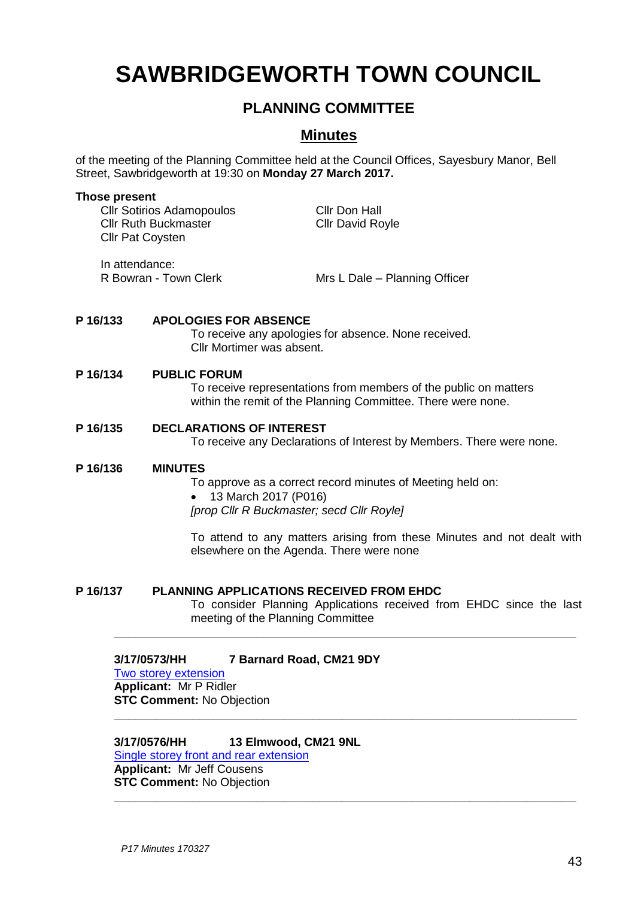# **SAWBRIDGEWORTH TOWN COUNCIL**

## **PLANNING COMMITTEE**

### **Minutes**

of the meeting of the Planning Committee held at the Council Offices, Sayesbury Manor, Bell Street, Sawbridgeworth at 19:30 on **Monday 27 March 2017.**

#### **Those present**

Cllr Sotirios Adamopoulos Cllr Don Hall Cllr Ruth Buckmaster Cllr David Royle Cllr Pat Coysten

In attendance:

R Bowran - Town Clerk Mrs L Dale – Planning Officer

### **P 16/133 APOLOGIES FOR ABSENCE**

To receive any apologies for absence. None received. Cllr Mortimer was absent.

#### **P 16/134 PUBLIC FORUM**

To receive representations from members of the public on matters within the remit of the Planning Committee. There were none.

#### **P 16/135 DECLARATIONS OF INTEREST**

To receive any Declarations of Interest by Members. There were none.

#### **P 16/136 MINUTES**

To approve as a correct record minutes of Meeting held on:

**\_\_\_\_\_\_\_\_\_\_\_\_\_\_\_\_\_\_\_\_\_\_\_\_\_\_\_\_\_\_\_\_\_\_\_\_\_\_\_\_\_\_\_\_\_\_\_\_\_\_\_\_\_\_\_\_\_\_\_\_\_\_\_\_\_**

**\_\_\_\_\_\_\_\_\_\_\_\_\_\_\_\_\_\_\_\_\_\_\_\_\_\_\_\_\_\_\_\_\_\_\_\_\_\_\_\_\_\_\_\_\_\_\_\_\_\_\_\_\_\_\_\_\_\_\_\_\_\_\_\_\_**

**\_\_\_\_\_\_\_\_\_\_\_\_\_\_\_\_\_\_\_\_\_\_\_\_\_\_\_\_\_\_\_\_\_\_\_\_\_\_\_\_\_\_\_\_\_\_\_\_\_\_\_\_\_\_\_\_\_\_\_\_\_\_\_\_\_**

• 13 March 2017 (P016)

*[prop Cllr R Buckmaster; secd Cllr Royle]*

To attend to any matters arising from these Minutes and not dealt with elsewhere on the Agenda. There were none

#### **P 16/137 PLANNING APPLICATIONS RECEIVED FROM EHDC**

To consider Planning Applications received from EHDC since the last meeting of the Planning Committee

### **3/17/0573/HH 7 Barnard Road, CM21 9DY**

#### [Two storey extension](https://publicaccess.eastherts.gov.uk/online-applications/applicationDetails.do?activeTab=summary&keyVal=OMG0R1GL00X00) **Applicant:** Mr P Ridler

**STC Comment:** No Objection

**3/17/0576/HH 13 Elmwood, CM21 9NL** [Single storey front and rear extension](https://publicaccess.eastherts.gov.uk/online-applications/applicationDetails.do?activeTab=summary&keyVal=OMGCJ5GLFWD00) **Applicant:** Mr Jeff Cousens

**STC Comment:** No Objection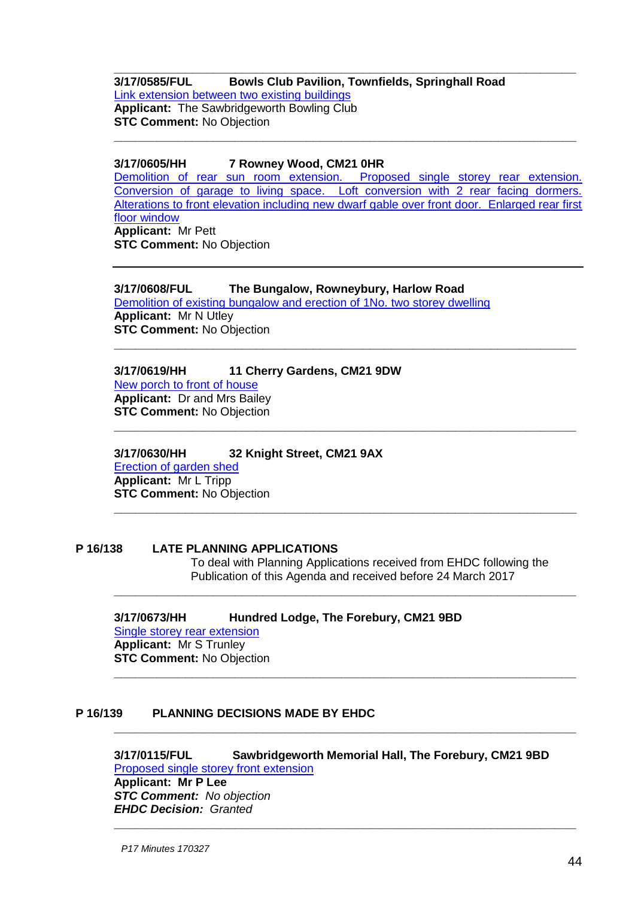#### **\_\_\_\_\_\_\_\_\_\_\_\_\_\_\_\_\_\_\_\_\_\_\_\_\_\_\_\_\_\_\_\_\_\_\_\_\_\_\_\_\_\_\_\_\_\_\_\_\_\_\_\_\_\_\_\_\_\_\_\_\_\_\_\_\_ 3/17/0585/FUL Bowls Club Pavilion, Townfields, Springhall Road** [Link extension between two existing buildings](https://publicaccess.eastherts.gov.uk/online-applications/applicationDetails.do?activeTab=summary&keyVal=OMHW2FGLFWZ00) **Applicant:** The Sawbridgeworth Bowling Club **STC Comment:** No Objection **\_\_\_\_\_\_\_\_\_\_\_\_\_\_\_\_\_\_\_\_\_\_\_\_\_\_\_\_\_\_\_\_\_\_\_\_\_\_\_\_\_\_\_\_\_\_\_\_\_\_\_\_\_\_\_\_\_\_\_\_\_\_\_\_\_**

#### **3/17/0605/HH 7 Rowney Wood, CM21 0HR**

[Demolition of rear sun room extension. Proposed single storey rear extension.](https://publicaccess.eastherts.gov.uk/online-applications/applicationDetails.do?activeTab=summary&keyVal=OMJQR9GLFXU00)  [Conversion of garage to living space. Loft conversion with 2 rear facing dormers.](https://publicaccess.eastherts.gov.uk/online-applications/applicationDetails.do?activeTab=summary&keyVal=OMJQR9GLFXU00)  [Alterations to front elevation including new dwarf gable over front door. Enlarged rear first](https://publicaccess.eastherts.gov.uk/online-applications/applicationDetails.do?activeTab=summary&keyVal=OMJQR9GLFXU00)  [floor window](https://publicaccess.eastherts.gov.uk/online-applications/applicationDetails.do?activeTab=summary&keyVal=OMJQR9GLFXU00) **Applicant:** Mr Pett **STC Comment:** No Objection

**\_\_\_\_\_\_\_\_\_\_\_\_\_\_\_\_\_\_\_\_\_\_\_\_\_\_\_\_\_\_\_\_\_\_\_\_\_\_\_\_\_\_\_\_\_\_\_\_\_\_\_\_\_\_\_\_\_\_\_\_\_\_\_\_\_**

**\_\_\_\_\_\_\_\_\_\_\_\_\_\_\_\_\_\_\_\_\_\_\_\_\_\_\_\_\_\_\_\_\_\_\_\_\_\_\_\_\_\_\_\_\_\_\_\_\_\_\_\_\_\_\_\_\_\_\_\_\_\_\_\_\_**

**\_\_\_\_\_\_\_\_\_\_\_\_\_\_\_\_\_\_\_\_\_\_\_\_\_\_\_\_\_\_\_\_\_\_\_\_\_\_\_\_\_\_\_\_\_\_\_\_\_\_\_\_\_\_\_\_\_\_\_\_\_\_\_\_\_**

**\_\_\_\_\_\_\_\_\_\_\_\_\_\_\_\_\_\_\_\_\_\_\_\_\_\_\_\_\_\_\_\_\_\_\_\_\_\_\_\_\_\_\_\_\_\_\_\_\_\_\_\_\_\_\_\_\_\_\_\_\_\_\_\_\_**

**\_\_\_\_\_\_\_\_\_\_\_\_\_\_\_\_\_\_\_\_\_\_\_\_\_\_\_\_\_\_\_\_\_\_\_\_\_\_\_\_\_\_\_\_\_\_\_\_\_\_\_\_\_\_\_\_\_\_\_\_\_\_\_\_\_**

**\_\_\_\_\_\_\_\_\_\_\_\_\_\_\_\_\_\_\_\_\_\_\_\_\_\_\_\_\_\_\_\_\_\_\_\_\_\_\_\_\_\_\_\_\_\_\_\_\_\_\_\_\_\_\_\_\_\_\_\_\_\_\_\_\_**

### **3/17/0608/FUL The Bungalow, Rowneybury, Harlow Road**

[Demolition of existing bungalow and erection of 1No. two storey dwelling](https://publicaccess.eastherts.gov.uk/online-applications/applicationDetails.do?activeTab=summary&keyVal=OMK1VCGLFY100) **Applicant:** Mr N Utley **STC Comment:** No Objection

#### **3/17/0619/HH 11 Cherry Gardens, CM21 9DW** [New porch to front of house](https://publicaccess.eastherts.gov.uk/online-applications/applicationDetails.do?activeTab=summary&keyVal=OMN4YPGLFYY00)

**Applicant:** Dr and Mrs Bailey **STC Comment:** No Objection

**3/17/0630/HH 32 Knight Street, CM21 9AX** [Erection of garden shed](https://publicaccess.eastherts.gov.uk/online-applications/applicationDetails.do?activeTab=summary&keyVal=OMR4KZGL00X00) **Applicant:** Mr L Tripp **STC Comment:** No Objection

#### **P 16/138 LATE PLANNING APPLICATIONS**

To deal with Planning Applications received from EHDC following the Publication of this Agenda and received before 24 March 2017

**3/17/0673/HH Hundred Lodge, The Forebury, CM21 9BD** [Single storey rear extension](https://publicaccess.eastherts.gov.uk/online-applications/applicationDetails.do?activeTab=summary&keyVal=OMR4KZGL00X00) **Applicant:** Mr S Trunley **STC Comment:** No Objection

#### **P 16/139 PLANNING DECISIONS MADE BY EHDC**

**3/17/0115/FUL Sawbridgeworth Memorial Hall, The Forebury, CM21 9BD** [Proposed single storey front extension](https://publicaccess.eastherts.gov.uk/online-applications/applicationDetails.do?activeTab=summary&keyVal=OJYZK5GL00X00) **Applicant: Mr P Lee** *STC Comment: No objection EHDC Decision: Granted* **\_\_\_\_\_\_\_\_\_\_\_\_\_\_\_\_\_\_\_\_\_\_\_\_\_\_\_\_\_\_\_\_\_\_\_\_\_\_\_\_\_\_\_\_\_\_\_\_\_\_\_\_\_\_\_\_\_\_\_\_\_\_\_\_\_**